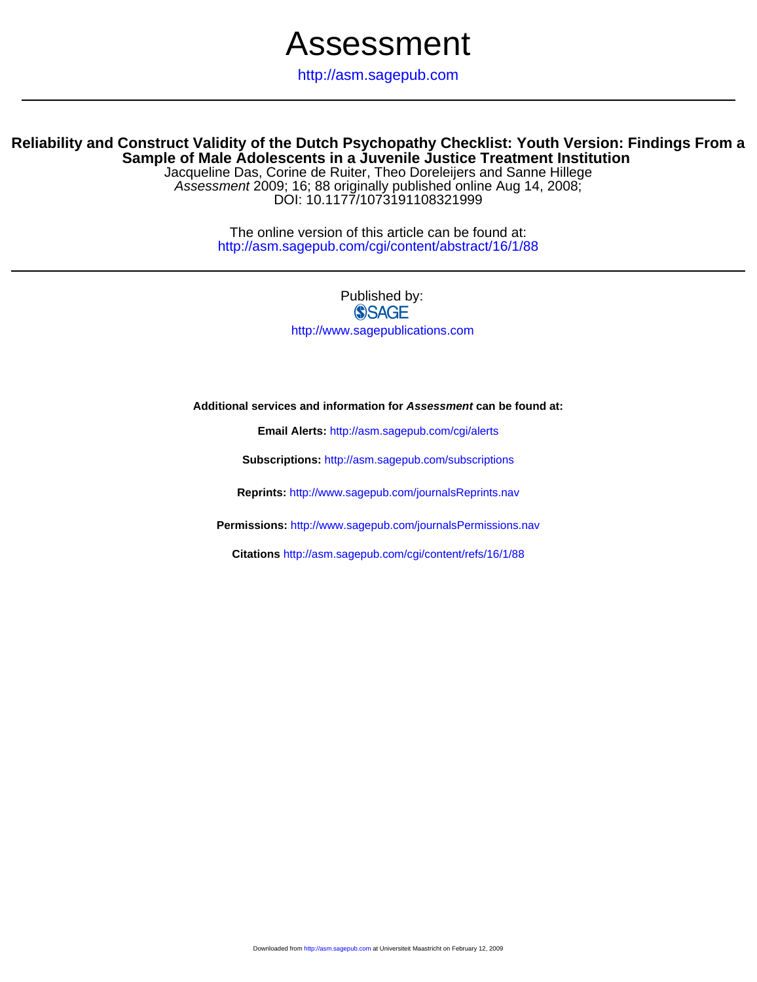Assessment

http://asm.sagepub.com

#### DOI: 10.1177/1073191108321999 Assessment 2009; 16; 88 originally published online Aug 14, 2008; Jacqueline Das, Corine de Ruiter, Theo Doreleijers and Sanne Hillege **Sample of Male Adolescents in a Juvenile Justice Treatment Institution Reliability and Construct Validity of the Dutch Psychopathy Checklist: Youth Version: Findings From a**

http://asm.sagepub.com/cgi/content/abstract/16/1/88 The online version of this article can be found at:

> Published by: **SSAGE** http://www.sagepublications.com

**Additional services and information for Assessment can be found at:**

**Email Alerts:** <http://asm.sagepub.com/cgi/alerts>

**Subscriptions:** <http://asm.sagepub.com/subscriptions>

**Reprints:** <http://www.sagepub.com/journalsReprints.nav>

**Permissions:** <http://www.sagepub.com/journalsPermissions.nav>

**Citations** <http://asm.sagepub.com/cgi/content/refs/16/1/88>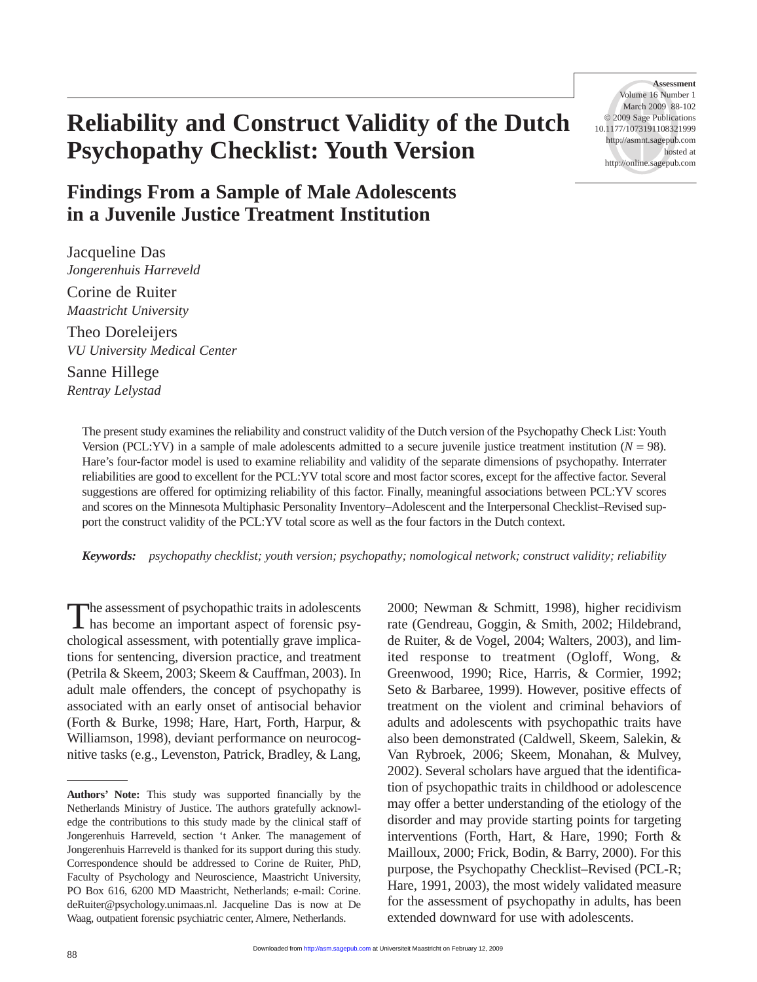**Assessment**  Volume 16 Number 1 March 2009 88-102 © 2009 Sage Publications 10.1177/1073191108321999 http://asmnt.sagepub.com hosted at http://online.sagepub.com

# **Reliability and Construct Validity of the Dutch Psychopathy Checklist: Youth Version**

# **Findings From a Sample of Male Adolescents in a Juvenile Justice Treatment Institution**

Jacqueline Das *Jongerenhuis Harreveld*

Corine de Ruiter *Maastricht University*

Theo Doreleijers *VU University Medical Center*

Sanne Hillege *Rentray Lelystad*

> The present study examines the reliability and construct validity of the Dutch version of the Psychopathy Check List:Youth Version (PCL:YV) in a sample of male adolescents admitted to a secure juvenile justice treatment institution ( $N = 98$ ). Hare's four-factor model is used to examine reliability and validity of the separate dimensions of psychopathy. Interrater reliabilities are good to excellent for the PCL:YV total score and most factor scores, except for the affective factor. Several suggestions are offered for optimizing reliability of this factor. Finally, meaningful associations between PCL:YV scores and scores on the Minnesota Multiphasic Personality Inventory–Adolescent and the Interpersonal Checklist–Revised support the construct validity of the PCL:YV total score as well as the four factors in the Dutch context.

> *Keywords: psychopathy checklist; youth version; psychopathy; nomological network; construct validity; reliability*

The assessment of psychopathic traits in adolescents<br>has become an important aspect of forensic psychological assessment, with potentially grave implications for sentencing, diversion practice, and treatment (Petrila & Skeem, 2003; Skeem & Cauffman, 2003). In adult male offenders, the concept of psychopathy is associated with an early onset of antisocial behavior (Forth & Burke, 1998; Hare, Hart, Forth, Harpur, & Williamson, 1998), deviant performance on neurocognitive tasks (e.g., Levenston, Patrick, Bradley, & Lang,

2000; Newman & Schmitt, 1998), higher recidivism rate (Gendreau, Goggin, & Smith, 2002; Hildebrand, de Ruiter, & de Vogel, 2004; Walters, 2003), and limited response to treatment (Ogloff, Wong, & Greenwood, 1990; Rice, Harris, & Cormier, 1992; Seto & Barbaree, 1999). However, positive effects of treatment on the violent and criminal behaviors of adults and adolescents with psychopathic traits have also been demonstrated (Caldwell, Skeem, Salekin, & Van Rybroek, 2006; Skeem, Monahan, & Mulvey, 2002). Several scholars have argued that the identification of psychopathic traits in childhood or adolescence may offer a better understanding of the etiology of the disorder and may provide starting points for targeting interventions (Forth, Hart, & Hare, 1990; Forth & Mailloux, 2000; Frick, Bodin, & Barry, 2000). For this purpose, the Psychopathy Checklist–Revised (PCL-R; Hare, 1991, 2003), the most widely validated measure for the assessment of psychopathy in adults, has been extended downward for use with adolescents.

**Authors' Note:** This study was supported financially by the Netherlands Ministry of Justice. The authors gratefully acknowledge the contributions to this study made by the clinical staff of Jongerenhuis Harreveld, section 't Anker. The management of Jongerenhuis Harreveld is thanked for its support during this study. Correspondence should be addressed to Corine de Ruiter, PhD, Faculty of Psychology and Neuroscience, Maastricht University, PO Box 616, 6200 MD Maastricht, Netherlands; e-mail: Corine. deRuiter@psychology.unimaas.nl. Jacqueline Das is now at De Waag, outpatient forensic psychiatric center, Almere, Netherlands.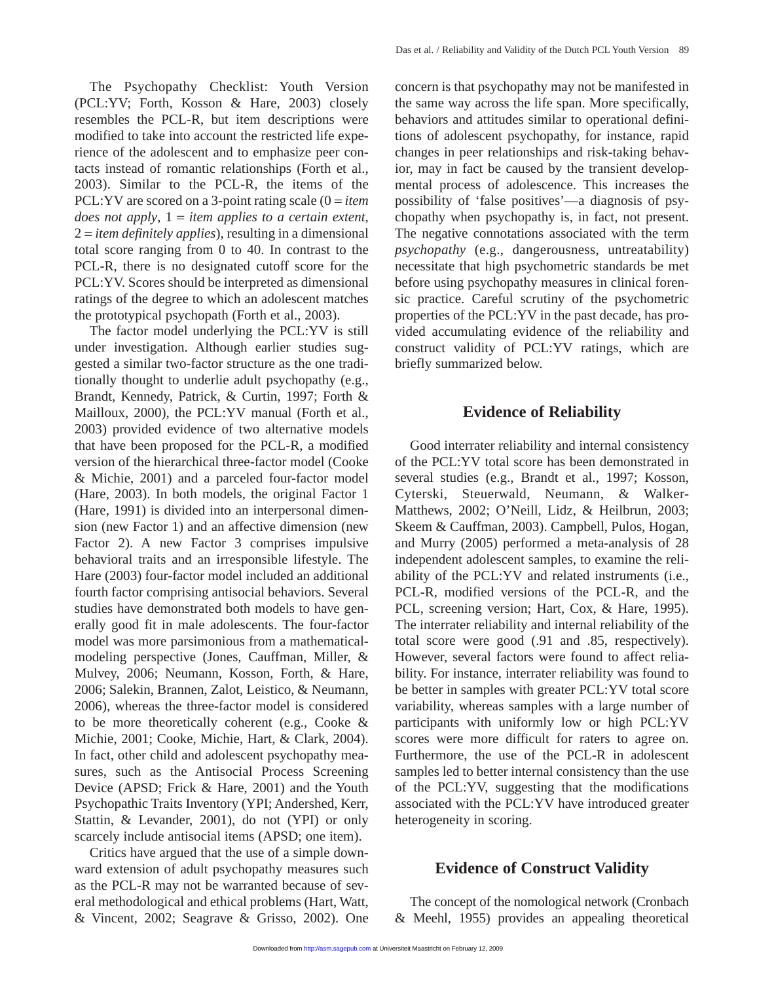The Psychopathy Checklist: Youth Version (PCL:YV; Forth, Kosson & Hare, 2003) closely resembles the PCL-R, but item descriptions were modified to take into account the restricted life experience of the adolescent and to emphasize peer contacts instead of romantic relationships (Forth et al., 2003). Similar to the PCL-R, the items of the PCL:YV are scored on a 3-point rating scale (0 = *item does not apply*, 1 = *item applies to a certain extent*, 2 = *item definitely applies*), resulting in a dimensional total score ranging from 0 to 40. In contrast to the PCL-R, there is no designated cutoff score for the PCL:YV. Scores should be interpreted as dimensional ratings of the degree to which an adolescent matches the prototypical psychopath (Forth et al., 2003).

The factor model underlying the PCL:YV is still under investigation. Although earlier studies suggested a similar two-factor structure as the one traditionally thought to underlie adult psychopathy (e.g., Brandt, Kennedy, Patrick, & Curtin, 1997; Forth & Mailloux, 2000), the PCL:YV manual (Forth et al., 2003) provided evidence of two alternative models that have been proposed for the PCL-R, a modified version of the hierarchical three-factor model (Cooke & Michie, 2001) and a parceled four-factor model (Hare, 2003). In both models, the original Factor 1 (Hare, 1991) is divided into an interpersonal dimension (new Factor 1) and an affective dimension (new Factor 2). A new Factor 3 comprises impulsive behavioral traits and an irresponsible lifestyle. The Hare (2003) four-factor model included an additional fourth factor comprising antisocial behaviors. Several studies have demonstrated both models to have generally good fit in male adolescents. The four-factor model was more parsimonious from a mathematicalmodeling perspective (Jones, Cauffman, Miller, & Mulvey, 2006; Neumann, Kosson, Forth, & Hare, 2006; Salekin, Brannen, Zalot, Leistico, & Neumann, 2006), whereas the three-factor model is considered to be more theoretically coherent (e.g., Cooke & Michie, 2001; Cooke, Michie, Hart, & Clark, 2004). In fact, other child and adolescent psychopathy measures, such as the Antisocial Process Screening Device (APSD; Frick & Hare, 2001) and the Youth Psychopathic Traits Inventory (YPI; Andershed, Kerr, Stattin, & Levander, 2001), do not (YPI) or only scarcely include antisocial items (APSD; one item).

Critics have argued that the use of a simple downward extension of adult psychopathy measures such as the PCL-R may not be warranted because of several methodological and ethical problems (Hart, Watt, & Vincent, 2002; Seagrave & Grisso, 2002). One

concern is that psychopathy may not be manifested in the same way across the life span. More specifically, behaviors and attitudes similar to operational definitions of adolescent psychopathy, for instance, rapid changes in peer relationships and risk-taking behavior, may in fact be caused by the transient developmental process of adolescence. This increases the possibility of 'false positives'—a diagnosis of psychopathy when psychopathy is, in fact, not present. The negative connotations associated with the term *psychopathy* (e.g., dangerousness, untreatability) necessitate that high psychometric standards be met before using psychopathy measures in clinical forensic practice. Careful scrutiny of the psychometric properties of the PCL:YV in the past decade, has provided accumulating evidence of the reliability and construct validity of PCL:YV ratings, which are briefly summarized below.

# **Evidence of Reliability**

Good interrater reliability and internal consistency of the PCL:YV total score has been demonstrated in several studies (e.g., Brandt et al., 1997; Kosson, Cyterski, Steuerwald, Neumann, & Walker-Matthews, 2002; O'Neill, Lidz, & Heilbrun, 2003; Skeem & Cauffman, 2003). Campbell, Pulos, Hogan, and Murry (2005) performed a meta-analysis of 28 independent adolescent samples, to examine the reliability of the PCL:YV and related instruments (i.e., PCL-R, modified versions of the PCL-R, and the PCL, screening version; Hart, Cox, & Hare, 1995). The interrater reliability and internal reliability of the total score were good (.91 and .85, respectively). However, several factors were found to affect reliability. For instance, interrater reliability was found to be better in samples with greater PCL:YV total score variability, whereas samples with a large number of participants with uniformly low or high PCL:YV scores were more difficult for raters to agree on. Furthermore, the use of the PCL-R in adolescent samples led to better internal consistency than the use of the PCL:YV, suggesting that the modifications associated with the PCL:YV have introduced greater heterogeneity in scoring.

# **Evidence of Construct Validity**

The concept of the nomological network (Cronbach & Meehl, 1955) provides an appealing theoretical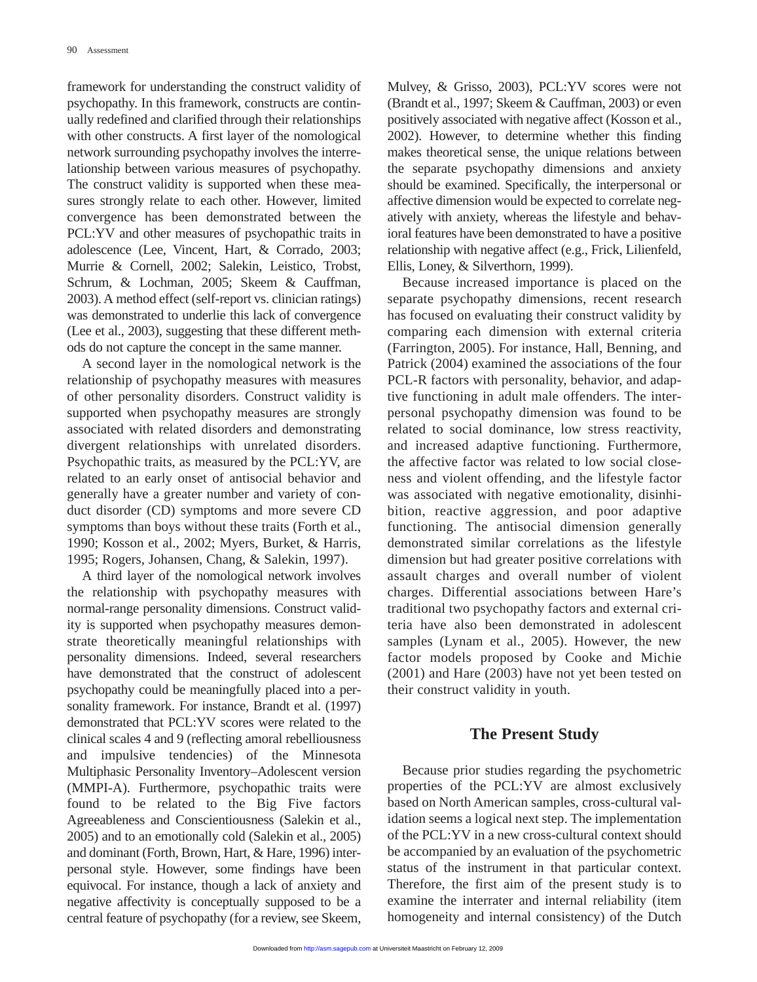framework for understanding the construct validity of psychopathy. In this framework, constructs are continually redefined and clarified through their relationships with other constructs. A first layer of the nomological network surrounding psychopathy involves the interrelationship between various measures of psychopathy. The construct validity is supported when these measures strongly relate to each other. However, limited convergence has been demonstrated between the PCL:YV and other measures of psychopathic traits in adolescence (Lee, Vincent, Hart, & Corrado, 2003; Murrie & Cornell, 2002; Salekin, Leistico, Trobst, Schrum, & Lochman, 2005; Skeem & Cauffman, 2003). A method effect (self-report vs. clinician ratings) was demonstrated to underlie this lack of convergence (Lee et al., 2003), suggesting that these different methods do not capture the concept in the same manner.

A second layer in the nomological network is the relationship of psychopathy measures with measures of other personality disorders. Construct validity is supported when psychopathy measures are strongly associated with related disorders and demonstrating divergent relationships with unrelated disorders. Psychopathic traits, as measured by the PCL:YV, are related to an early onset of antisocial behavior and generally have a greater number and variety of conduct disorder (CD) symptoms and more severe CD symptoms than boys without these traits (Forth et al., 1990; Kosson et al., 2002; Myers, Burket, & Harris, 1995; Rogers, Johansen, Chang, & Salekin, 1997).

A third layer of the nomological network involves the relationship with psychopathy measures with normal-range personality dimensions. Construct validity is supported when psychopathy measures demonstrate theoretically meaningful relationships with personality dimensions. Indeed, several researchers have demonstrated that the construct of adolescent psychopathy could be meaningfully placed into a personality framework. For instance, Brandt et al. (1997) demonstrated that PCL:YV scores were related to the clinical scales 4 and 9 (reflecting amoral rebelliousness and impulsive tendencies) of the Minnesota Multiphasic Personality Inventory–Adolescent version (MMPI-A). Furthermore, psychopathic traits were found to be related to the Big Five factors Agreeableness and Conscientiousness (Salekin et al., 2005) and to an emotionally cold (Salekin et al., 2005) and dominant (Forth, Brown, Hart, & Hare, 1996) interpersonal style. However, some findings have been equivocal. For instance, though a lack of anxiety and negative affectivity is conceptually supposed to be a central feature of psychopathy (for a review, see Skeem,

Mulvey, & Grisso, 2003), PCL:YV scores were not (Brandt et al., 1997; Skeem & Cauffman, 2003) or even positively associated with negative affect (Kosson et al., 2002). However, to determine whether this finding makes theoretical sense, the unique relations between the separate psychopathy dimensions and anxiety should be examined. Specifically, the interpersonal or affective dimension would be expected to correlate negatively with anxiety, whereas the lifestyle and behavioral features have been demonstrated to have a positive relationship with negative affect (e.g., Frick, Lilienfeld, Ellis, Loney, & Silverthorn, 1999).

Because increased importance is placed on the separate psychopathy dimensions, recent research has focused on evaluating their construct validity by comparing each dimension with external criteria (Farrington, 2005). For instance, Hall, Benning, and Patrick (2004) examined the associations of the four PCL-R factors with personality, behavior, and adaptive functioning in adult male offenders. The interpersonal psychopathy dimension was found to be related to social dominance, low stress reactivity, and increased adaptive functioning. Furthermore, the affective factor was related to low social closeness and violent offending, and the lifestyle factor was associated with negative emotionality, disinhibition, reactive aggression, and poor adaptive functioning. The antisocial dimension generally demonstrated similar correlations as the lifestyle dimension but had greater positive correlations with assault charges and overall number of violent charges. Differential associations between Hare's traditional two psychopathy factors and external criteria have also been demonstrated in adolescent samples (Lynam et al., 2005). However, the new factor models proposed by Cooke and Michie (2001) and Hare (2003) have not yet been tested on their construct validity in youth.

# **The Present Study**

Because prior studies regarding the psychometric properties of the PCL:YV are almost exclusively based on North American samples, cross-cultural validation seems a logical next step. The implementation of the PCL:YV in a new cross-cultural context should be accompanied by an evaluation of the psychometric status of the instrument in that particular context. Therefore, the first aim of the present study is to examine the interrater and internal reliability (item homogeneity and internal consistency) of the Dutch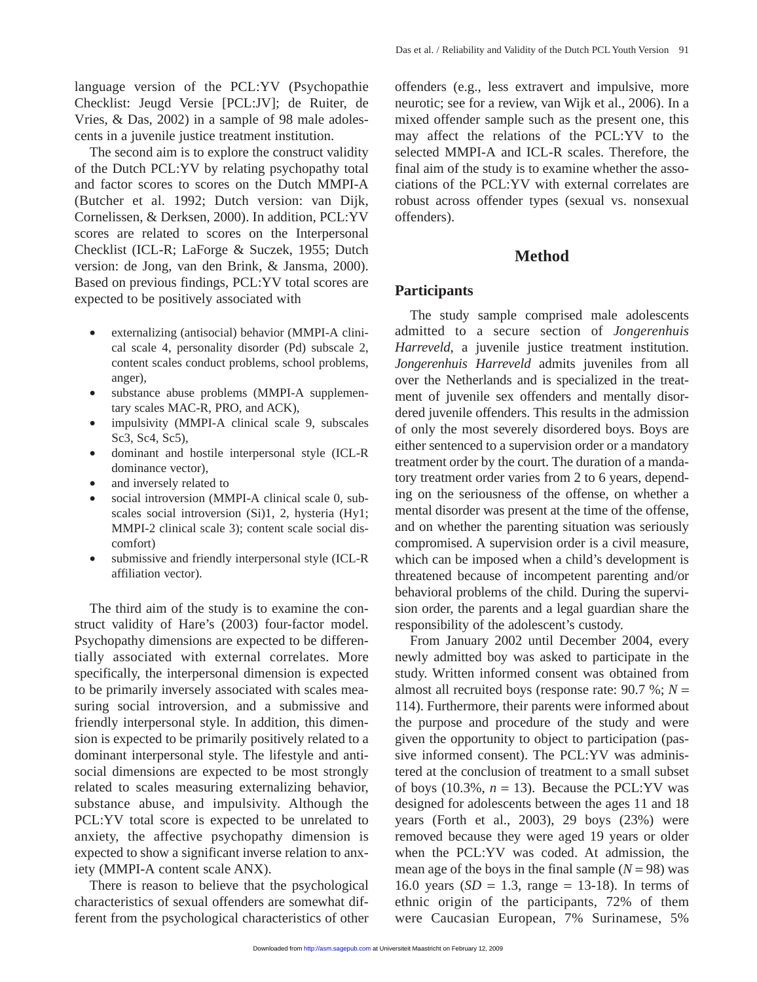language version of the PCL:YV (Psychopathie Checklist: Jeugd Versie [PCL:JV]; de Ruiter, de Vries, & Das, 2002) in a sample of 98 male adolescents in a juvenile justice treatment institution.

The second aim is to explore the construct validity of the Dutch PCL:YV by relating psychopathy total and factor scores to scores on the Dutch MMPI-A (Butcher et al. 1992; Dutch version: van Dijk, Cornelissen, & Derksen, 2000). In addition, PCL:YV scores are related to scores on the Interpersonal Checklist (ICL-R; LaForge & Suczek, 1955; Dutch version: de Jong, van den Brink, & Jansma, 2000). Based on previous findings, PCL:YV total scores are expected to be positively associated with

- externalizing (antisocial) behavior (MMPI-A clinical scale 4, personality disorder (Pd) subscale 2, content scales conduct problems, school problems, anger),
- substance abuse problems (MMPI-A supplementary scales MAC-R, PRO, and ACK),
- impulsivity (MMPI-A clinical scale 9, subscales Sc3, Sc4, Sc5),
- dominant and hostile interpersonal style (ICL-R dominance vector),
- and inversely related to
- social introversion (MMPI-A clinical scale 0, subscales social introversion (Si)1, 2, hysteria (Hy1; MMPI-2 clinical scale 3); content scale social discomfort)
- submissive and friendly interpersonal style (ICL-R) affiliation vector).

The third aim of the study is to examine the construct validity of Hare's (2003) four-factor model. Psychopathy dimensions are expected to be differentially associated with external correlates. More specifically, the interpersonal dimension is expected to be primarily inversely associated with scales measuring social introversion, and a submissive and friendly interpersonal style. In addition, this dimension is expected to be primarily positively related to a dominant interpersonal style. The lifestyle and antisocial dimensions are expected to be most strongly related to scales measuring externalizing behavior, substance abuse, and impulsivity. Although the PCL:YV total score is expected to be unrelated to anxiety, the affective psychopathy dimension is expected to show a significant inverse relation to anxiety (MMPI-A content scale ANX).

There is reason to believe that the psychological characteristics of sexual offenders are somewhat different from the psychological characteristics of other offenders (e.g., less extravert and impulsive, more neurotic; see for a review, van Wijk et al., 2006). In a mixed offender sample such as the present one, this may affect the relations of the PCL:YV to the selected MMPI-A and ICL-R scales. Therefore, the final aim of the study is to examine whether the associations of the PCL:YV with external correlates are robust across offender types (sexual vs. nonsexual offenders).

# **Method**

# **Participants**

The study sample comprised male adolescents admitted to a secure section of *Jongerenhuis Harreveld*, a juvenile justice treatment institution. *Jongerenhuis Harreveld* admits juveniles from all over the Netherlands and is specialized in the treatment of juvenile sex offenders and mentally disordered juvenile offenders. This results in the admission of only the most severely disordered boys. Boys are either sentenced to a supervision order or a mandatory treatment order by the court. The duration of a mandatory treatment order varies from 2 to 6 years, depending on the seriousness of the offense, on whether a mental disorder was present at the time of the offense, and on whether the parenting situation was seriously compromised. A supervision order is a civil measure, which can be imposed when a child's development is threatened because of incompetent parenting and/or behavioral problems of the child. During the supervision order, the parents and a legal guardian share the responsibility of the adolescent's custody.

From January 2002 until December 2004, every newly admitted boy was asked to participate in the study. Written informed consent was obtained from almost all recruited boys (response rate: 90.7 %; *N* = 114). Furthermore, their parents were informed about the purpose and procedure of the study and were given the opportunity to object to participation (passive informed consent). The PCL:YV was administered at the conclusion of treatment to a small subset of boys  $(10.3\%, n = 13)$ . Because the PCL:YV was designed for adolescents between the ages 11 and 18 years (Forth et al., 2003), 29 boys (23%) were removed because they were aged 19 years or older when the PCL:YV was coded. At admission, the mean age of the boys in the final sample  $(N = 98)$  was 16.0 years  $(SD = 1.3, \text{ range} = 13-18)$ . In terms of ethnic origin of the participants, 72% of them were Caucasian European, 7% Surinamese, 5%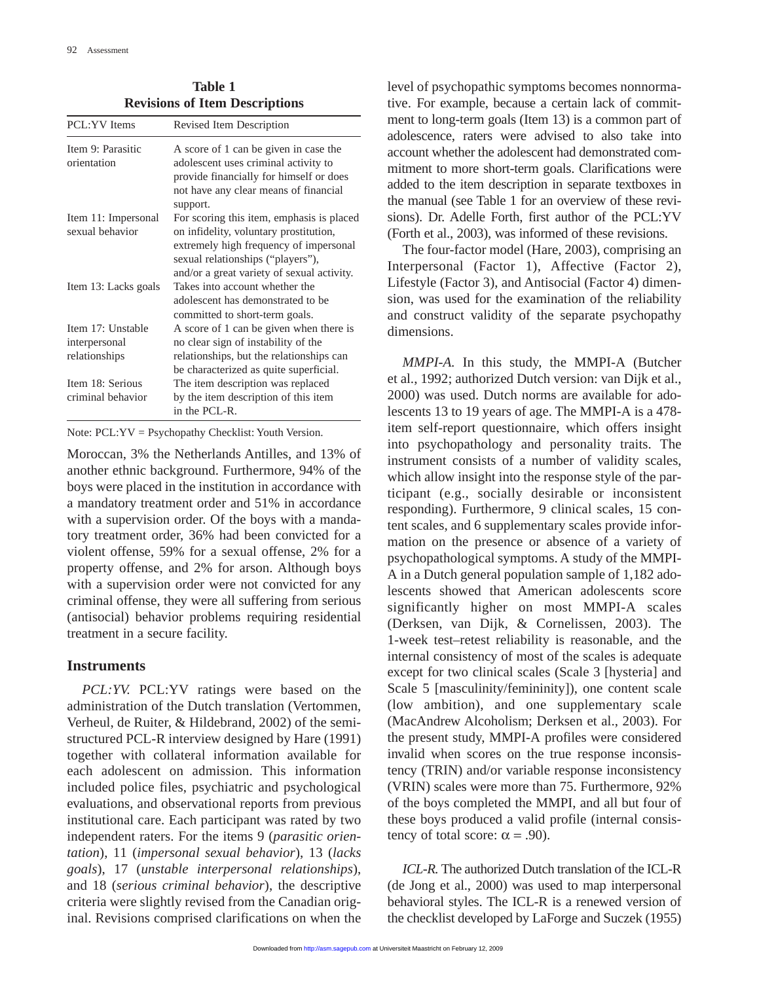| <b>PCL:YV</b> Items                    | Revised Item Description                                                                                                                                                                                         |
|----------------------------------------|------------------------------------------------------------------------------------------------------------------------------------------------------------------------------------------------------------------|
| Item 9: Parasitic<br>orientation       | A score of 1 can be given in case the<br>adolescent uses criminal activity to<br>provide financially for himself or does<br>not have any clear means of financial<br>support.                                    |
| Item 11: Impersonal<br>sexual behavior | For scoring this item, emphasis is placed<br>on infidelity, voluntary prostitution,<br>extremely high frequency of impersonal<br>sexual relationships ("players"),<br>and/or a great variety of sexual activity. |
| Item 13: Lacks goals                   | Takes into account whether the<br>adolescent has demonstrated to be<br>committed to short-term goals.                                                                                                            |
| Item 17: Unstable                      | A score of 1 can be given when there is                                                                                                                                                                          |
| interpersonal                          | no clear sign of instability of the                                                                                                                                                                              |
| relationships                          | relationships, but the relationships can<br>be characterized as quite superficial.                                                                                                                               |
| Item 18: Serious                       | The item description was replaced                                                                                                                                                                                |
| criminal behavior                      | by the item description of this item<br>in the PCL-R.                                                                                                                                                            |

**Table 1 Revisions of Item Descriptions**

Note: PCL:YV = Psychopathy Checklist: Youth Version.

Moroccan, 3% the Netherlands Antilles, and 13% of another ethnic background. Furthermore, 94% of the boys were placed in the institution in accordance with a mandatory treatment order and 51% in accordance with a supervision order. Of the boys with a mandatory treatment order, 36% had been convicted for a violent offense, 59% for a sexual offense, 2% for a property offense, and 2% for arson. Although boys with a supervision order were not convicted for any criminal offense, they were all suffering from serious (antisocial) behavior problems requiring residential treatment in a secure facility.

#### **Instruments**

*PCL:YV.* PCL:YV ratings were based on the administration of the Dutch translation (Vertommen, Verheul, de Ruiter, & Hildebrand, 2002) of the semistructured PCL-R interview designed by Hare (1991) together with collateral information available for each adolescent on admission. This information included police files, psychiatric and psychological evaluations, and observational reports from previous institutional care. Each participant was rated by two independent raters. For the items 9 (*parasitic orientation*), 11 (*impersonal sexual behavior*), 13 (*lacks goals*), 17 (*unstable interpersonal relationships*), and 18 (*serious criminal behavior*), the descriptive criteria were slightly revised from the Canadian original. Revisions comprised clarifications on when the

level of psychopathic symptoms becomes nonnormative. For example, because a certain lack of commitment to long-term goals (Item 13) is a common part of adolescence, raters were advised to also take into account whether the adolescent had demonstrated commitment to more short-term goals. Clarifications were added to the item description in separate textboxes in the manual (see Table 1 for an overview of these revisions). Dr. Adelle Forth, first author of the PCL:YV (Forth et al., 2003), was informed of these revisions.

The four-factor model (Hare, 2003), comprising an Interpersonal (Factor 1), Affective (Factor 2), Lifestyle (Factor 3), and Antisocial (Factor 4) dimension, was used for the examination of the reliability and construct validity of the separate psychopathy dimensions.

*MMPI-A.* In this study, the MMPI-A (Butcher et al., 1992; authorized Dutch version: van Dijk et al., 2000) was used. Dutch norms are available for adolescents 13 to 19 years of age. The MMPI-A is a 478 item self-report questionnaire, which offers insight into psychopathology and personality traits. The instrument consists of a number of validity scales, which allow insight into the response style of the participant (e.g., socially desirable or inconsistent responding). Furthermore, 9 clinical scales, 15 content scales, and 6 supplementary scales provide information on the presence or absence of a variety of psychopathological symptoms. A study of the MMPI-A in a Dutch general population sample of 1,182 adolescents showed that American adolescents score significantly higher on most MMPI-A scales (Derksen, van Dijk, & Cornelissen, 2003). The 1-week test–retest reliability is reasonable, and the internal consistency of most of the scales is adequate except for two clinical scales (Scale 3 [hysteria] and Scale 5 [masculinity/femininity]), one content scale (low ambition), and one supplementary scale (MacAndrew Alcoholism; Derksen et al., 2003). For the present study, MMPI-A profiles were considered invalid when scores on the true response inconsistency (TRIN) and/or variable response inconsistency (VRIN) scales were more than 75. Furthermore, 92% of the boys completed the MMPI, and all but four of these boys produced a valid profile (internal consistency of total score:  $α = .90$ ).

*ICL-R.* The authorized Dutch translation of the ICL-R (de Jong et al., 2000) was used to map interpersonal behavioral styles. The ICL-R is a renewed version of the checklist developed by LaForge and Suczek (1955)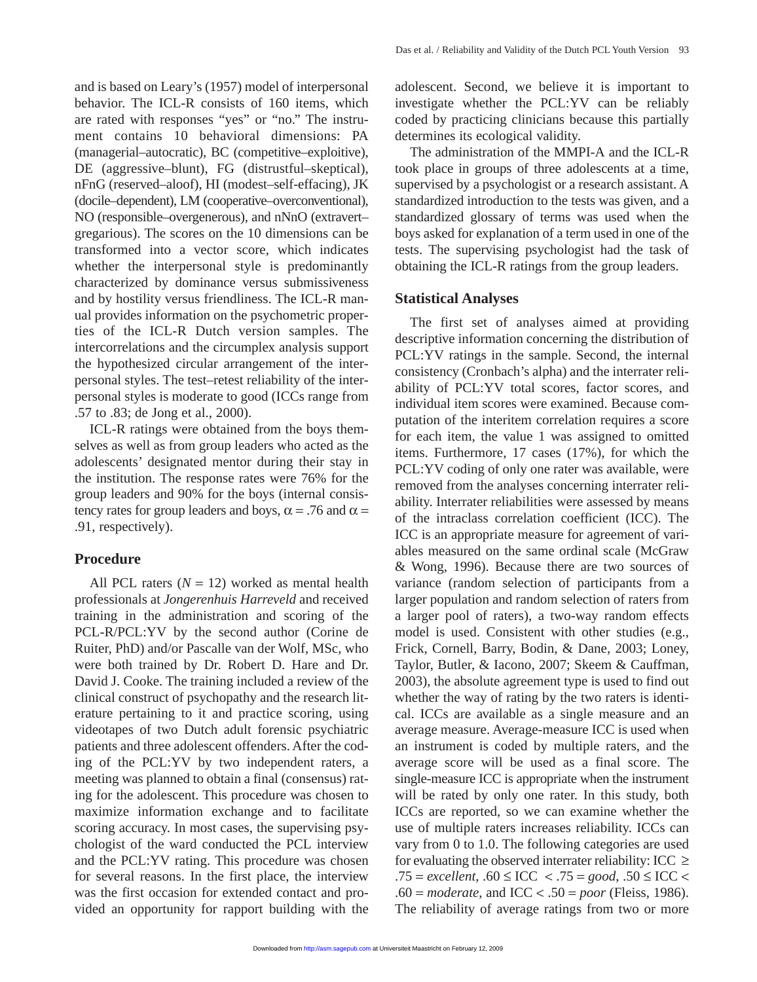and is based on Leary's (1957) model of interpersonal behavior. The ICL-R consists of 160 items, which are rated with responses "yes" or "no." The instrument contains 10 behavioral dimensions: PA (managerial–autocratic), BC (competitive–exploitive), DE (aggressive–blunt), FG (distrustful–skeptical), nFnG (reserved–aloof), HI (modest–self-effacing), JK (docile–dependent), LM (cooperative–overconventional), NO (responsible–overgenerous), and nNnO (extravert– gregarious). The scores on the 10 dimensions can be transformed into a vector score, which indicates whether the interpersonal style is predominantly characterized by dominance versus submissiveness and by hostility versus friendliness. The ICL-R manual provides information on the psychometric properties of the ICL-R Dutch version samples. The intercorrelations and the circumplex analysis support the hypothesized circular arrangement of the interpersonal styles. The test–retest reliability of the interpersonal styles is moderate to good (ICCs range from .57 to .83; de Jong et al., 2000).

ICL-R ratings were obtained from the boys themselves as well as from group leaders who acted as the adolescents' designated mentor during their stay in the institution. The response rates were 76% for the group leaders and 90% for the boys (internal consistency rates for group leaders and boys,  $\alpha = .76$  and  $\alpha =$ .91, respectively).

# **Procedure**

All PCL raters  $(N = 12)$  worked as mental health professionals at *Jongerenhuis Harreveld* and received training in the administration and scoring of the PCL-R/PCL:YV by the second author (Corine de Ruiter, PhD) and/or Pascalle van der Wolf, MSc, who were both trained by Dr. Robert D. Hare and Dr. David J. Cooke. The training included a review of the clinical construct of psychopathy and the research literature pertaining to it and practice scoring, using videotapes of two Dutch adult forensic psychiatric patients and three adolescent offenders. After the coding of the PCL:YV by two independent raters, a meeting was planned to obtain a final (consensus) rating for the adolescent. This procedure was chosen to maximize information exchange and to facilitate scoring accuracy. In most cases, the supervising psychologist of the ward conducted the PCL interview and the PCL:YV rating. This procedure was chosen for several reasons. In the first place, the interview was the first occasion for extended contact and provided an opportunity for rapport building with the

adolescent. Second, we believe it is important to investigate whether the PCL:YV can be reliably coded by practicing clinicians because this partially determines its ecological validity.

The administration of the MMPI-A and the ICL-R took place in groups of three adolescents at a time, supervised by a psychologist or a research assistant. A standardized introduction to the tests was given, and a standardized glossary of terms was used when the boys asked for explanation of a term used in one of the tests. The supervising psychologist had the task of obtaining the ICL-R ratings from the group leaders.

#### **Statistical Analyses**

The first set of analyses aimed at providing descriptive information concerning the distribution of PCL:YV ratings in the sample. Second, the internal consistency (Cronbach's alpha) and the interrater reliability of PCL:YV total scores, factor scores, and individual item scores were examined. Because computation of the interitem correlation requires a score for each item, the value 1 was assigned to omitted items. Furthermore, 17 cases (17%), for which the PCL:YV coding of only one rater was available, were removed from the analyses concerning interrater reliability. Interrater reliabilities were assessed by means of the intraclass correlation coefficient (ICC). The ICC is an appropriate measure for agreement of variables measured on the same ordinal scale (McGraw & Wong, 1996). Because there are two sources of variance (random selection of participants from a larger population and random selection of raters from a larger pool of raters), a two-way random effects model is used. Consistent with other studies (e.g., Frick, Cornell, Barry, Bodin, & Dane, 2003; Loney, Taylor, Butler, & Iacono, 2007; Skeem & Cauffman, 2003), the absolute agreement type is used to find out whether the way of rating by the two raters is identical. ICCs are available as a single measure and an average measure. Average-measure ICC is used when an instrument is coded by multiple raters, and the average score will be used as a final score. The single-measure ICC is appropriate when the instrument will be rated by only one rater. In this study, both ICCs are reported, so we can examine whether the use of multiple raters increases reliability. ICCs can vary from 0 to 1.0. The following categories are used for evaluating the observed interrater reliability: ICC  $\geq$ .75 = *excellent*, .60 ≤ ICC < .75 = *good*, .50 ≤ ICC < .60 = *moderate*, and ICC < .50 = *poor* (Fleiss, 1986). The reliability of average ratings from two or more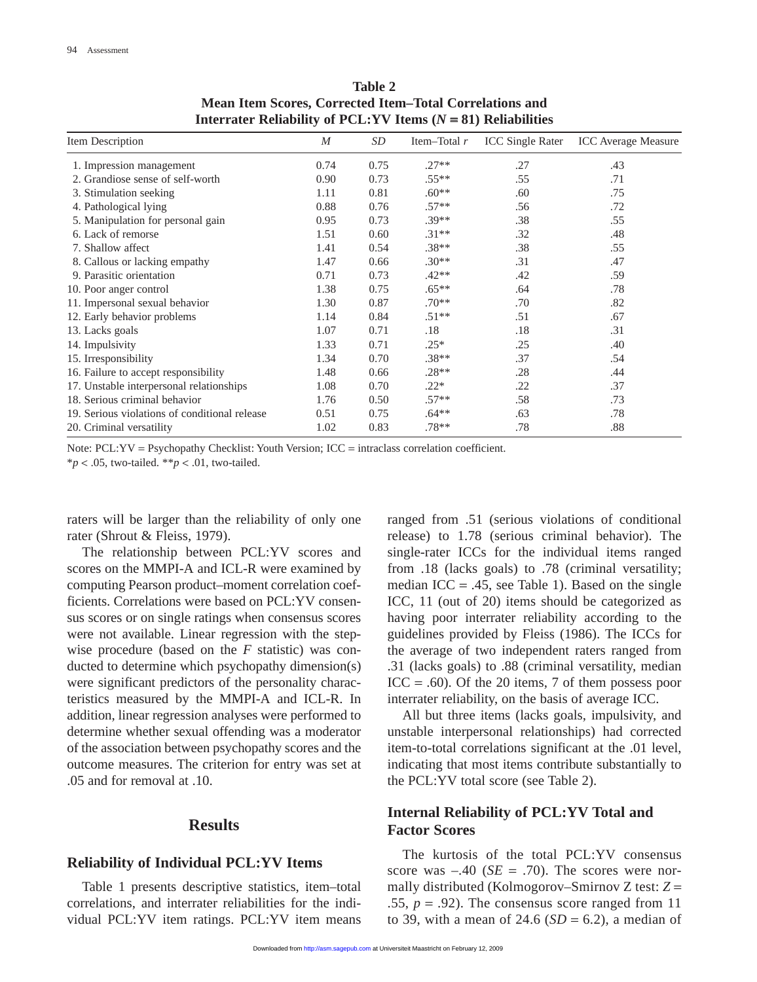| Item Description                              | $\boldsymbol{M}$ | SD   | Item-Total $r$ | <b>ICC</b> Single Rater | <b>ICC</b> Average Measure |
|-----------------------------------------------|------------------|------|----------------|-------------------------|----------------------------|
| 1. Impression management                      | 0.74             | 0.75 | $.27**$        | .27                     | .43                        |
| 2. Grandiose sense of self-worth              | 0.90             | 0.73 | $.55**$        | .55                     | .71                        |
| 3. Stimulation seeking                        | 1.11             | 0.81 | $.60**$        | .60                     | .75                        |
| 4. Pathological lying                         | 0.88             | 0.76 | $.57**$        | .56                     | .72                        |
| 5. Manipulation for personal gain             | 0.95             | 0.73 | $.39**$        | .38                     | .55                        |
| 6. Lack of remorse                            | 1.51             | 0.60 | $.31**$        | .32                     | .48                        |
| 7. Shallow affect                             | 1.41             | 0.54 | $.38**$        | .38                     | .55                        |
| 8. Callous or lacking empathy                 | 1.47             | 0.66 | $.30**$        | .31                     | .47                        |
| 9. Parasitic orientation                      | 0.71             | 0.73 | $.42**$        | .42                     | .59                        |
| 10. Poor anger control                        | 1.38             | 0.75 | $.65**$        | .64                     | .78                        |
| 11. Impersonal sexual behavior                | 1.30             | 0.87 | $.70**$        | .70                     | .82                        |
| 12. Early behavior problems                   | 1.14             | 0.84 | $.51**$        | .51                     | .67                        |
| 13. Lacks goals                               | 1.07             | 0.71 | .18            | .18                     | .31                        |
| 14. Impulsivity                               | 1.33             | 0.71 | $.25*$         | .25                     | .40                        |
| 15. Irresponsibility                          | 1.34             | 0.70 | $.38**$        | .37                     | .54                        |
| 16. Failure to accept responsibility          | 1.48             | 0.66 | $.28**$        | .28                     | .44                        |
| 17. Unstable interpersonal relationships      | 1.08             | 0.70 | $.22*$         | .22                     | .37                        |
| 18. Serious criminal behavior                 | 1.76             | 0.50 | $.57**$        | .58                     | .73                        |
| 19. Serious violations of conditional release | 0.51             | 0.75 | $.64**$        | .63                     | .78                        |
| 20. Criminal versatility                      | 1.02             | 0.83 | $.78**$        | .78                     | .88                        |

**Table 2 Mean Item Scores, Corrected Item–Total Correlations and Interrater Reliability of PCL:YV Items (***N* = **81) Reliabilities**

Note: PCL:YV = Psychopathy Checklist: Youth Version; ICC = intraclass correlation coefficient.

\**p* < .05, two-tailed. \*\**p* < .01, two-tailed.

raters will be larger than the reliability of only one rater (Shrout & Fleiss, 1979).

The relationship between PCL:YV scores and scores on the MMPI-A and ICL-R were examined by computing Pearson product–moment correlation coefficients. Correlations were based on PCL:YV consensus scores or on single ratings when consensus scores were not available. Linear regression with the stepwise procedure (based on the *F* statistic) was conducted to determine which psychopathy dimension(s) were significant predictors of the personality characteristics measured by the MMPI-A and ICL-R. In addition, linear regression analyses were performed to determine whether sexual offending was a moderator of the association between psychopathy scores and the outcome measures. The criterion for entry was set at .05 and for removal at .10.

# **Results**

# **Reliability of Individual PCL:YV Items**

Table 1 presents descriptive statistics, item–total correlations, and interrater reliabilities for the individual PCL:YV item ratings. PCL:YV item means

ranged from .51 (serious violations of conditional release) to 1.78 (serious criminal behavior). The single-rater ICCs for the individual items ranged from .18 (lacks goals) to .78 (criminal versatility; median ICC =  $.45$ , see Table 1). Based on the single ICC, 11 (out of 20) items should be categorized as having poor interrater reliability according to the guidelines provided by Fleiss (1986). The ICCs for the average of two independent raters ranged from .31 (lacks goals) to .88 (criminal versatility, median  $ICC = .60$ ). Of the 20 items, 7 of them possess poor interrater reliability, on the basis of average ICC.

All but three items (lacks goals, impulsivity, and unstable interpersonal relationships) had corrected item-to-total correlations significant at the .01 level, indicating that most items contribute substantially to the PCL:YV total score (see Table 2).

# **Internal Reliability of PCL:YV Total and Factor Scores**

The kurtosis of the total PCL:YV consensus score was  $-.40$  (*SE* = .70). The scores were normally distributed (Kolmogorov–Smirnov Z test: *Z* = .55,  $p = .92$ ). The consensus score ranged from 11 to 39, with a mean of  $24.6$  ( $SD = 6.2$ ), a median of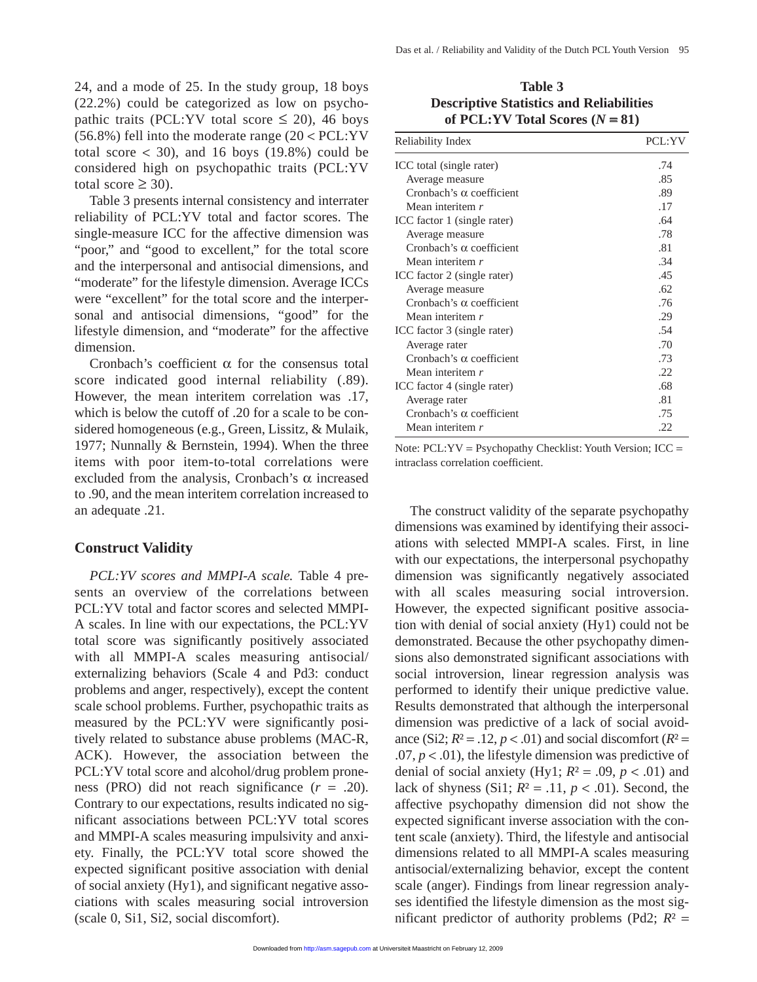24, and a mode of 25. In the study group, 18 boys (22.2%) could be categorized as low on psychopathic traits (PCL:YV total score  $\leq$  20), 46 boys  $(56.8\%)$  fell into the moderate range  $(20 < PCL:YY)$ total score  $\langle 30 \rangle$ , and 16 boys (19.8%) could be considered high on psychopathic traits (PCL:YV total score  $\geq 30$ ).

Table 3 presents internal consistency and interrater reliability of PCL:YV total and factor scores. The single-measure ICC for the affective dimension was "poor," and "good to excellent," for the total score and the interpersonal and antisocial dimensions, and "moderate" for the lifestyle dimension. Average ICCs were "excellent" for the total score and the interpersonal and antisocial dimensions, "good" for the lifestyle dimension, and "moderate" for the affective dimension.

Cronbach's coefficient  $\alpha$  for the consensus total score indicated good internal reliability (.89). However, the mean interitem correlation was .17, which is below the cutoff of .20 for a scale to be considered homogeneous (e.g., Green, Lissitz, & Mulaik, 1977; Nunnally & Bernstein, 1994). When the three items with poor item-to-total correlations were excluded from the analysis, Cronbach's  $\alpha$  increased to .90, and the mean interitem correlation increased to an adequate .21.

#### **Construct Validity**

*PCL:YV scores and MMPI-A scale.* Table 4 presents an overview of the correlations between PCL:YV total and factor scores and selected MMPI-A scales. In line with our expectations, the PCL:YV total score was significantly positively associated with all MMPI-A scales measuring antisocial/ externalizing behaviors (Scale 4 and Pd3: conduct problems and anger, respectively), except the content scale school problems. Further, psychopathic traits as measured by the PCL:YV were significantly positively related to substance abuse problems (MAC-R, ACK). However, the association between the PCL:YV total score and alcohol/drug problem proneness (PRO) did not reach significance (*r* = .20). Contrary to our expectations, results indicated no significant associations between PCL:YV total scores and MMPI-A scales measuring impulsivity and anxiety. Finally, the PCL:YV total score showed the expected significant positive association with denial of social anxiety (Hy1), and significant negative associations with scales measuring social introversion (scale 0, Si1, Si2, social discomfort).

**Table 3 Descriptive Statistics and Reliabilities** of PCL:YV Total Scores  $(N = 81)$ 

| Reliability Index               | <b>PCL:YV</b> |  |  |
|---------------------------------|---------------|--|--|
| ICC total (single rater)        | .74           |  |  |
| Average measure                 | .85           |  |  |
| Cronbach's $\alpha$ coefficient | .89           |  |  |
| Mean interitem $r$              | .17           |  |  |
| ICC factor 1 (single rater)     | .64           |  |  |
| Average measure                 | .78           |  |  |
| Cronbach's $\alpha$ coefficient | .81           |  |  |
| Mean interitem r                | .34           |  |  |
| ICC factor 2 (single rater)     | .45           |  |  |
| Average measure                 | .62           |  |  |
| Cronbach's $\alpha$ coefficient | .76           |  |  |
| Mean interitem $r$              | .29           |  |  |
| ICC factor 3 (single rater)     | .54           |  |  |
| Average rater                   | .70           |  |  |
| Cronbach's $\alpha$ coefficient | .73           |  |  |
| Mean interitem $r$              | .22           |  |  |
| ICC factor 4 (single rater)     | .68           |  |  |
| Average rater                   | .81           |  |  |
| Cronbach's $\alpha$ coefficient | .75           |  |  |
| Mean interitem $r$              | 22            |  |  |

Note: PCL:YV = Psychopathy Checklist: Youth Version; ICC = intraclass correlation coefficient.

The construct validity of the separate psychopathy dimensions was examined by identifying their associations with selected MMPI-A scales. First, in line with our expectations, the interpersonal psychopathy dimension was significantly negatively associated with all scales measuring social introversion. However, the expected significant positive association with denial of social anxiety (Hy1) could not be demonstrated. Because the other psychopathy dimensions also demonstrated significant associations with social introversion, linear regression analysis was performed to identify their unique predictive value. Results demonstrated that although the interpersonal dimension was predictive of a lack of social avoidance (Si2;  $R^2 = .12$ ,  $p < .01$ ) and social discomfort ( $R^2 =$  $.07, p < .01$ ), the lifestyle dimension was predictive of denial of social anxiety (Hy1;  $R^2 = .09$ ,  $p < .01$ ) and lack of shyness (Si1;  $R^2 = .11$ ,  $p < .01$ ). Second, the affective psychopathy dimension did not show the expected significant inverse association with the content scale (anxiety). Third, the lifestyle and antisocial dimensions related to all MMPI-A scales measuring antisocial/externalizing behavior, except the content scale (anger). Findings from linear regression analyses identified the lifestyle dimension as the most significant predictor of authority problems (Pd2;  $R^2$  =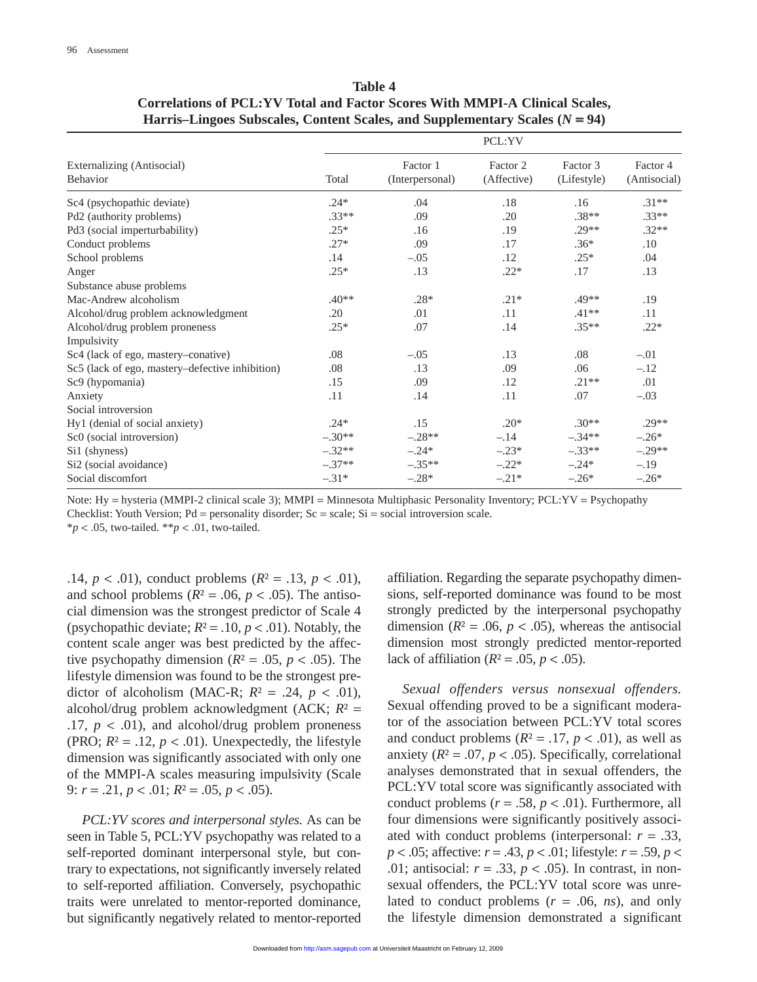|                                                 | PCL:YV   |                             |                         |                         |                          |
|-------------------------------------------------|----------|-----------------------------|-------------------------|-------------------------|--------------------------|
| Externalizing (Antisocial)<br><b>Behavior</b>   | Total    | Factor 1<br>(Interpersonal) | Factor 2<br>(Affective) | Factor 3<br>(Lifestyle) | Factor 4<br>(Antisocial) |
| Sc4 (psychopathic deviate)                      | $.24*$   | .04                         | .18                     | .16                     | $.31**$                  |
| Pd2 (authority problems)                        | $.33**$  | .09                         | .20                     | $.38**$                 | $.33**$                  |
| Pd3 (social imperturbability)                   | $.25*$   | .16                         | .19                     | $.29**$                 | $.32**$                  |
| Conduct problems                                | $.27*$   | .09                         | .17                     | $.36*$                  | .10                      |
| School problems                                 | .14      | $-.05$                      | .12                     | $.25*$                  | .04                      |
| Anger                                           | $.25*$   | .13                         | $.22*$                  | .17                     | .13                      |
| Substance abuse problems                        |          |                             |                         |                         |                          |
| Mac-Andrew alcoholism                           | $.40**$  | $.28*$                      | $.21*$                  | $.49**$                 | .19                      |
| Alcohol/drug problem acknowledgment             | .20      | .01                         | .11                     | $.41**$                 | .11                      |
| Alcohol/drug problem proneness                  | $.25*$   | .07                         | .14                     | $.35**$                 | $.22*$                   |
| Impulsivity                                     |          |                             |                         |                         |                          |
| Sc4 (lack of ego, mastery–conative)             | .08      | $-.05$                      | .13                     | .08                     | $-.01$                   |
| Sc5 (lack of ego, mastery-defective inhibition) | .08      | .13                         | .09                     | .06                     | $-.12$                   |
| Sc9 (hypomania)                                 | .15      | .09                         | .12                     | $.21**$                 | .01                      |
| Anxiety                                         | .11      | .14                         | .11                     | .07                     | $-.03$                   |
| Social introversion                             |          |                             |                         |                         |                          |
| Hy1 (denial of social anxiety)                  | $.24*$   | .15                         | $.20*$                  | $.30**$                 | $.29**$                  |
| Sc0 (social introversion)                       | $-.30**$ | $-.28**$                    | $-.14$                  | $-.34**$                | $-.26*$                  |
| Si1 (shyness)                                   | $-.32**$ | $-.24*$                     | $-.23*$                 | $-.33**$                | $-.29**$                 |
| Si2 (social avoidance)                          | $-.37**$ | $-.35**$                    | $-.22*$                 | $-.24*$                 | $-.19$                   |
| Social discomfort                               | $-.31*$  | $-.28*$                     | $-.21*$                 | $-.26*$                 | $-.26*$                  |

**Table 4 Correlations of PCL:YV Total and Factor Scores With MMPI-A Clinical Scales, Harris–Lingoes Subscales, Content Scales, and Supplementary Scales (***N* = **94)**

Note: Hy = hysteria (MMPI-2 clinical scale 3); MMPI = Minnesota Multiphasic Personality Inventory; PCL:YV = Psychopathy Checklist: Youth Version; Pd = personality disorder;  $Sc = scale$ ;  $Si = social$  introversion scale.

 $**p* < .05$ , two-tailed.  $**p* < .01$ , two-tailed.

.14,  $p < .01$ ), conduct problems ( $R^2 = .13$ ,  $p < .01$ ), and school problems ( $R<sup>2</sup> = .06$ ,  $p < .05$ ). The antisocial dimension was the strongest predictor of Scale 4 (psychopathic deviate;  $R^2 = .10$ ,  $p < .01$ ). Notably, the content scale anger was best predicted by the affective psychopathy dimension ( $R^2 = .05$ ,  $p < .05$ ). The lifestyle dimension was found to be the strongest predictor of alcoholism (MAC-R;  $R^2 = .24$ ,  $p < .01$ ), alcohol/drug problem acknowledgment (ACK; *R*² = .17,  $p < .01$ ), and alcohol/drug problem proneness (PRO;  $R^2 = .12$ ,  $p < .01$ ). Unexpectedly, the lifestyle dimension was significantly associated with only one of the MMPI-A scales measuring impulsivity (Scale 9:  $r = .21$ ,  $p < .01$ ;  $R^2 = .05$ ,  $p < .05$ ).

*PCL:YV scores and interpersonal styles.* As can be seen in Table 5, PCL:YV psychopathy was related to a self-reported dominant interpersonal style, but contrary to expectations, not significantly inversely related to self-reported affiliation. Conversely, psychopathic traits were unrelated to mentor-reported dominance, but significantly negatively related to mentor-reported

affiliation. Regarding the separate psychopathy dimensions, self-reported dominance was found to be most strongly predicted by the interpersonal psychopathy dimension ( $R$ <sup>2</sup> = .06,  $p$  < .05), whereas the antisocial dimension most strongly predicted mentor-reported lack of affiliation ( $R<sup>2</sup> = .05$ ,  $p < .05$ ).

*Sexual offenders versus nonsexual offenders.* Sexual offending proved to be a significant moderator of the association between PCL:YV total scores and conduct problems  $(R^2 = .17, p < .01)$ , as well as anxiety  $(R^2 = .07, p < .05)$ . Specifically, correlational analyses demonstrated that in sexual offenders, the PCL:YV total score was significantly associated with conduct problems ( $r = .58$ ,  $p < .01$ ). Furthermore, all four dimensions were significantly positively associated with conduct problems (interpersonal:  $r = .33$ , *p* < .05; affective: *r* = .43, *p* < .01; lifestyle: *r* = .59, *p* < .01; antisocial:  $r = .33$ ,  $p < .05$ ). In contrast, in nonsexual offenders, the PCL:YV total score was unrelated to conduct problems  $(r = .06, ns)$ , and only the lifestyle dimension demonstrated a significant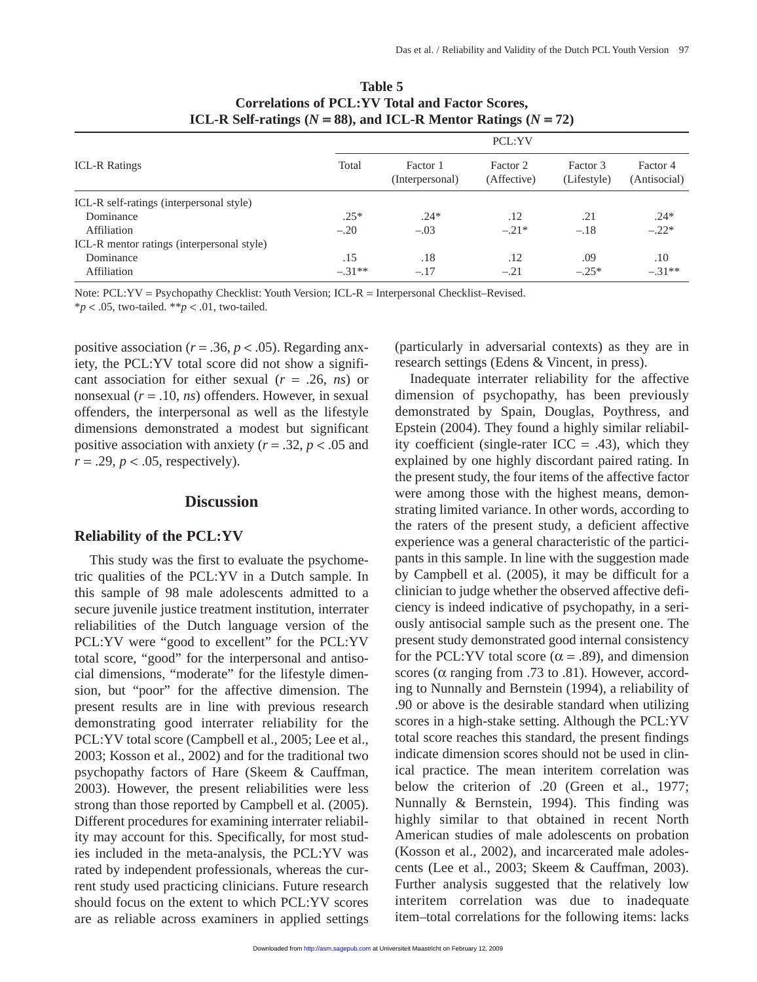|                                            | PCL:YV   |                             |                         |                         |                          |  |
|--------------------------------------------|----------|-----------------------------|-------------------------|-------------------------|--------------------------|--|
| <b>ICL-R Ratings</b>                       | Total    | Factor 1<br>(Interpersonal) | Factor 2<br>(Affective) | Factor 3<br>(Lifestyle) | Factor 4<br>(Antisocial) |  |
| ICL-R self-ratings (interpersonal style)   |          |                             |                         |                         |                          |  |
| Dominance                                  | $.25*$   | $.24*$                      | .12                     | .21                     | $.24*$                   |  |
| Affiliation                                | $-.20$   | $-.03$                      | $-.21*$                 | $-.18$                  | $-.22*$                  |  |
| ICL-R mentor ratings (interpersonal style) |          |                             |                         |                         |                          |  |
| Dominance                                  | .15      | .18                         | .12                     | .09                     | .10                      |  |
| Affiliation                                | $-.31**$ | $-.17$                      | $-.21$                  | $-.25*$                 | $-.31**$                 |  |

| <b>Table 5</b>                                                         |
|------------------------------------------------------------------------|
| Correlations of PCL:YV Total and Factor Scores,                        |
| ICL-R Self-ratings ( $N = 88$ ), and ICL-R Mentor Ratings ( $N = 72$ ) |

Note: PCL:YV = Psychopathy Checklist: Youth Version; ICL-R = Interpersonal Checklist–Revised.

\**p* < .05, two-tailed. \*\**p* < .01, two-tailed.

positive association ( $r = .36$ ,  $p < .05$ ). Regarding anxiety, the PCL:YV total score did not show a significant association for either sexual  $(r = .26, ns)$  or nonsexual (*r* = .10, *ns*) offenders. However, in sexual offenders, the interpersonal as well as the lifestyle dimensions demonstrated a modest but significant positive association with anxiety ( $r = .32$ ,  $p < .05$  and  $r = .29$ ,  $p < .05$ , respectively).

# **Discussion**

#### **Reliability of the PCL:YV**

This study was the first to evaluate the psychometric qualities of the PCL:YV in a Dutch sample. In this sample of 98 male adolescents admitted to a secure juvenile justice treatment institution, interrater reliabilities of the Dutch language version of the PCL:YV were "good to excellent" for the PCL:YV total score, "good" for the interpersonal and antisocial dimensions, "moderate" for the lifestyle dimension, but "poor" for the affective dimension. The present results are in line with previous research demonstrating good interrater reliability for the PCL:YV total score (Campbell et al., 2005; Lee et al., 2003; Kosson et al., 2002) and for the traditional two psychopathy factors of Hare (Skeem & Cauffman, 2003). However, the present reliabilities were less strong than those reported by Campbell et al. (2005). Different procedures for examining interrater reliability may account for this. Specifically, for most studies included in the meta-analysis, the PCL:YV was rated by independent professionals, whereas the current study used practicing clinicians. Future research should focus on the extent to which PCL:YV scores are as reliable across examiners in applied settings

(particularly in adversarial contexts) as they are in research settings (Edens & Vincent, in press).

Inadequate interrater reliability for the affective dimension of psychopathy, has been previously demonstrated by Spain, Douglas, Poythress, and Epstein (2004). They found a highly similar reliability coefficient (single-rater  $ICC = .43)$ , which they explained by one highly discordant paired rating. In the present study, the four items of the affective factor were among those with the highest means, demonstrating limited variance. In other words, according to the raters of the present study, a deficient affective experience was a general characteristic of the participants in this sample. In line with the suggestion made by Campbell et al. (2005), it may be difficult for a clinician to judge whether the observed affective deficiency is indeed indicative of psychopathy, in a seriously antisocial sample such as the present one. The present study demonstrated good internal consistency for the PCL:YV total score ( $\alpha$  = .89), and dimension scores ( $\alpha$  ranging from .73 to .81). However, according to Nunnally and Bernstein (1994), a reliability of .90 or above is the desirable standard when utilizing scores in a high-stake setting. Although the PCL:YV total score reaches this standard, the present findings indicate dimension scores should not be used in clinical practice. The mean interitem correlation was below the criterion of .20 (Green et al., 1977; Nunnally & Bernstein, 1994). This finding was highly similar to that obtained in recent North American studies of male adolescents on probation (Kosson et al., 2002), and incarcerated male adolescents (Lee et al., 2003; Skeem & Cauffman, 2003). Further analysis suggested that the relatively low interitem correlation was due to inadequate item–total correlations for the following items: lacks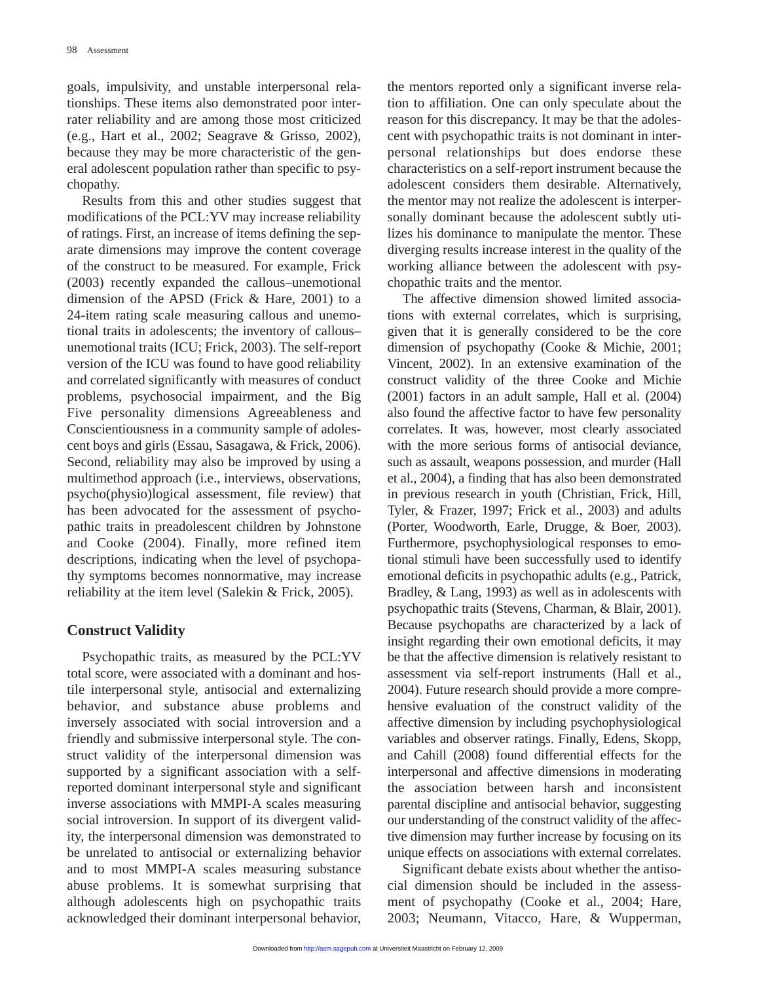goals, impulsivity, and unstable interpersonal relationships. These items also demonstrated poor interrater reliability and are among those most criticized (e.g., Hart et al., 2002; Seagrave & Grisso, 2002), because they may be more characteristic of the general adolescent population rather than specific to psychopathy.

Results from this and other studies suggest that modifications of the PCL:YV may increase reliability of ratings. First, an increase of items defining the separate dimensions may improve the content coverage of the construct to be measured. For example, Frick (2003) recently expanded the callous–unemotional dimension of the APSD (Frick & Hare, 2001) to a 24-item rating scale measuring callous and unemotional traits in adolescents; the inventory of callous– unemotional traits (ICU; Frick, 2003). The self-report version of the ICU was found to have good reliability and correlated significantly with measures of conduct problems, psychosocial impairment, and the Big Five personality dimensions Agreeableness and Conscientiousness in a community sample of adolescent boys and girls (Essau, Sasagawa, & Frick, 2006). Second, reliability may also be improved by using a multimethod approach (i.e., interviews, observations, psycho(physio)logical assessment, file review) that has been advocated for the assessment of psychopathic traits in preadolescent children by Johnstone and Cooke (2004). Finally, more refined item descriptions, indicating when the level of psychopathy symptoms becomes nonnormative, may increase reliability at the item level (Salekin & Frick, 2005).

# **Construct Validity**

Psychopathic traits, as measured by the PCL:YV total score, were associated with a dominant and hostile interpersonal style, antisocial and externalizing behavior, and substance abuse problems and inversely associated with social introversion and a friendly and submissive interpersonal style. The construct validity of the interpersonal dimension was supported by a significant association with a selfreported dominant interpersonal style and significant inverse associations with MMPI-A scales measuring social introversion. In support of its divergent validity, the interpersonal dimension was demonstrated to be unrelated to antisocial or externalizing behavior and to most MMPI-A scales measuring substance abuse problems. It is somewhat surprising that although adolescents high on psychopathic traits acknowledged their dominant interpersonal behavior,

the mentors reported only a significant inverse relation to affiliation. One can only speculate about the reason for this discrepancy. It may be that the adolescent with psychopathic traits is not dominant in interpersonal relationships but does endorse these characteristics on a self-report instrument because the adolescent considers them desirable. Alternatively, the mentor may not realize the adolescent is interpersonally dominant because the adolescent subtly utilizes his dominance to manipulate the mentor. These diverging results increase interest in the quality of the working alliance between the adolescent with psychopathic traits and the mentor.

The affective dimension showed limited associations with external correlates, which is surprising, given that it is generally considered to be the core dimension of psychopathy (Cooke & Michie, 2001; Vincent, 2002). In an extensive examination of the construct validity of the three Cooke and Michie (2001) factors in an adult sample, Hall et al. (2004) also found the affective factor to have few personality correlates. It was, however, most clearly associated with the more serious forms of antisocial deviance, such as assault, weapons possession, and murder (Hall et al., 2004), a finding that has also been demonstrated in previous research in youth (Christian, Frick, Hill, Tyler, & Frazer, 1997; Frick et al., 2003) and adults (Porter, Woodworth, Earle, Drugge, & Boer, 2003). Furthermore, psychophysiological responses to emotional stimuli have been successfully used to identify emotional deficits in psychopathic adults (e.g., Patrick, Bradley, & Lang, 1993) as well as in adolescents with psychopathic traits (Stevens, Charman, & Blair, 2001). Because psychopaths are characterized by a lack of insight regarding their own emotional deficits, it may be that the affective dimension is relatively resistant to assessment via self-report instruments (Hall et al., 2004). Future research should provide a more comprehensive evaluation of the construct validity of the affective dimension by including psychophysiological variables and observer ratings. Finally, Edens, Skopp, and Cahill (2008) found differential effects for the interpersonal and affective dimensions in moderating the association between harsh and inconsistent parental discipline and antisocial behavior, suggesting our understanding of the construct validity of the affective dimension may further increase by focusing on its unique effects on associations with external correlates.

Significant debate exists about whether the antisocial dimension should be included in the assessment of psychopathy (Cooke et al., 2004; Hare, 2003; Neumann, Vitacco, Hare, & Wupperman,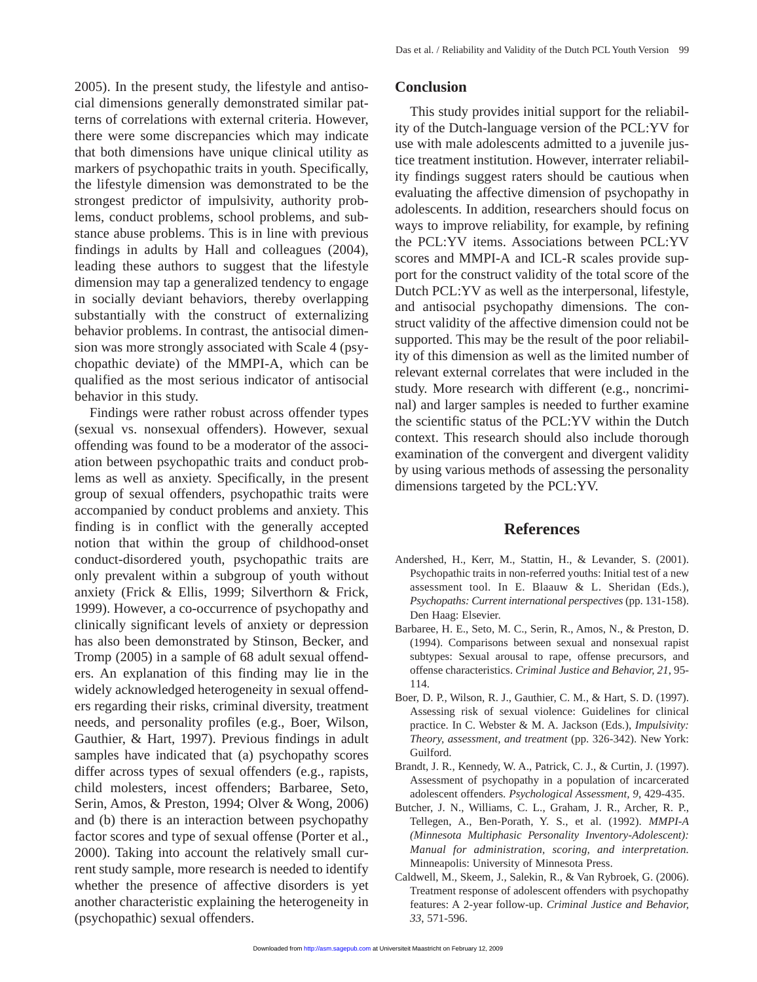2005). In the present study, the lifestyle and antisocial dimensions generally demonstrated similar patterns of correlations with external criteria. However, there were some discrepancies which may indicate that both dimensions have unique clinical utility as markers of psychopathic traits in youth. Specifically, the lifestyle dimension was demonstrated to be the strongest predictor of impulsivity, authority problems, conduct problems, school problems, and substance abuse problems. This is in line with previous findings in adults by Hall and colleagues (2004), leading these authors to suggest that the lifestyle dimension may tap a generalized tendency to engage in socially deviant behaviors, thereby overlapping substantially with the construct of externalizing behavior problems. In contrast, the antisocial dimension was more strongly associated with Scale 4 (psychopathic deviate) of the MMPI-A, which can be qualified as the most serious indicator of antisocial behavior in this study.

Findings were rather robust across offender types (sexual vs. nonsexual offenders). However, sexual offending was found to be a moderator of the association between psychopathic traits and conduct problems as well as anxiety. Specifically, in the present group of sexual offenders, psychopathic traits were accompanied by conduct problems and anxiety. This finding is in conflict with the generally accepted notion that within the group of childhood-onset conduct-disordered youth, psychopathic traits are only prevalent within a subgroup of youth without anxiety (Frick & Ellis, 1999; Silverthorn & Frick, 1999). However, a co-occurrence of psychopathy and clinically significant levels of anxiety or depression has also been demonstrated by Stinson, Becker, and Tromp (2005) in a sample of 68 adult sexual offenders. An explanation of this finding may lie in the widely acknowledged heterogeneity in sexual offenders regarding their risks, criminal diversity, treatment needs, and personality profiles (e.g., Boer, Wilson, Gauthier, & Hart, 1997). Previous findings in adult samples have indicated that (a) psychopathy scores differ across types of sexual offenders (e.g., rapists, child molesters, incest offenders; Barbaree, Seto, Serin, Amos, & Preston, 1994; Olver & Wong, 2006) and (b) there is an interaction between psychopathy factor scores and type of sexual offense (Porter et al., 2000). Taking into account the relatively small current study sample, more research is needed to identify whether the presence of affective disorders is yet another characteristic explaining the heterogeneity in (psychopathic) sexual offenders.

#### **Conclusion**

This study provides initial support for the reliability of the Dutch-language version of the PCL:YV for use with male adolescents admitted to a juvenile justice treatment institution. However, interrater reliability findings suggest raters should be cautious when evaluating the affective dimension of psychopathy in adolescents. In addition, researchers should focus on ways to improve reliability, for example, by refining the PCL:YV items. Associations between PCL:YV scores and MMPI-A and ICL-R scales provide support for the construct validity of the total score of the Dutch PCL:YV as well as the interpersonal, lifestyle, and antisocial psychopathy dimensions. The construct validity of the affective dimension could not be supported. This may be the result of the poor reliability of this dimension as well as the limited number of relevant external correlates that were included in the study. More research with different (e.g., noncriminal) and larger samples is needed to further examine the scientific status of the PCL:YV within the Dutch context. This research should also include thorough examination of the convergent and divergent validity by using various methods of assessing the personality dimensions targeted by the PCL:YV.

# **References**

- Andershed, H., Kerr, M., Stattin, H., & Levander, S. (2001). Psychopathic traits in non-referred youths: Initial test of a new assessment tool. In E. Blaauw & L. Sheridan (Eds.), *Psychopaths: Current international perspectives* (pp. 131-158). Den Haag: Elsevier.
- Barbaree, H. E., Seto, M. C., Serin, R., Amos, N., & Preston, D. (1994). Comparisons between sexual and nonsexual rapist subtypes: Sexual arousal to rape, offense precursors, and offense characteristics. *Criminal Justice and Behavior, 21*, 95- 114.
- Boer, D. P., Wilson, R. J., Gauthier, C. M., & Hart, S. D. (1997). Assessing risk of sexual violence: Guidelines for clinical practice. In C. Webster & M. A. Jackson (Eds.), *Impulsivity: Theory, assessment, and treatment* (pp. 326-342). New York: Guilford.
- Brandt, J. R., Kennedy, W. A., Patrick, C. J., & Curtin, J. (1997). Assessment of psychopathy in a population of incarcerated adolescent offenders. *Psychological Assessment, 9*, 429-435.
- Butcher, J. N., Williams, C. L., Graham, J. R., Archer, R. P., Tellegen, A., Ben-Porath, Y. S., et al. (1992). *MMPI-A (Minnesota Multiphasic Personality Inventory-Adolescent): Manual for administration, scoring, and interpretation.* Minneapolis: University of Minnesota Press.
- Caldwell, M., Skeem, J., Salekin, R., & Van Rybroek, G. (2006). Treatment response of adolescent offenders with psychopathy features: A 2-year follow-up. *Criminal Justice and Behavior, 33*, 571-596.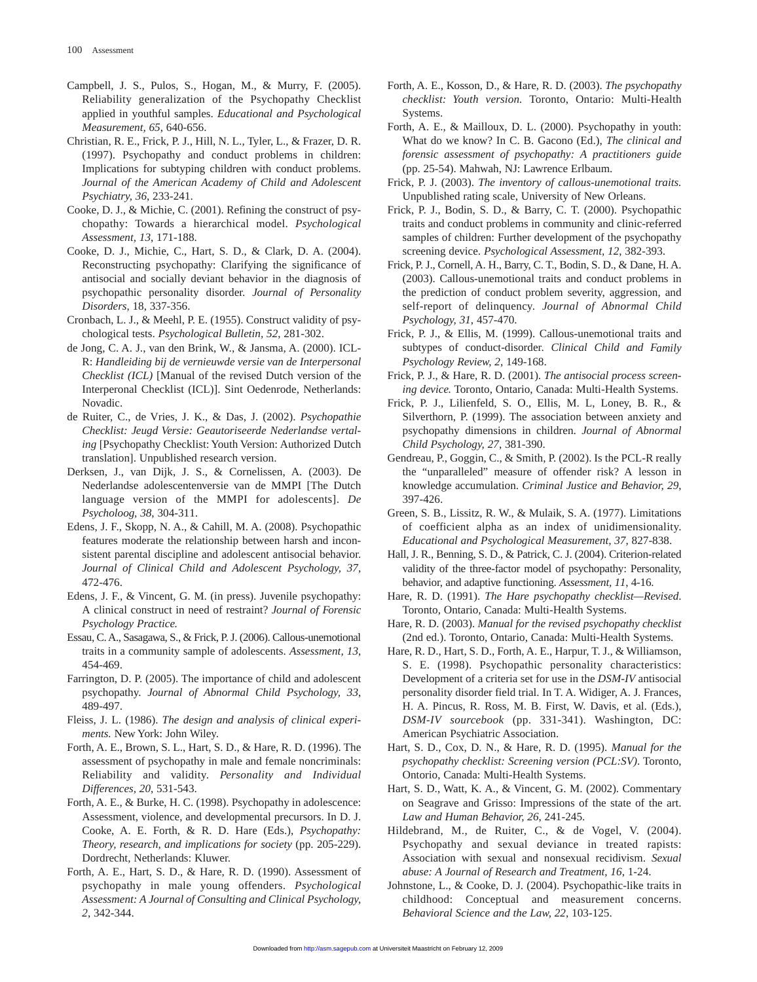- Campbell, J. S., Pulos, S., Hogan, M., & Murry, F. (2005). Reliability generalization of the Psychopathy Checklist applied in youthful samples. *Educational and Psychological Measurement, 65*, 640-656.
- Christian, R. E., Frick, P. J., Hill, N. L., Tyler, L., & Frazer, D. R. (1997). Psychopathy and conduct problems in children: Implications for subtyping children with conduct problems. *Journal of the American Academy of Child and Adolescent Psychiatry, 36*, 233-241.
- Cooke, D. J., & Michie, C. (2001). Refining the construct of psychopathy: Towards a hierarchical model. *Psychological Assessment, 13*, 171-188.
- Cooke, D. J., Michie, C., Hart, S. D., & Clark, D. A. (2004). Reconstructing psychopathy: Clarifying the significance of antisocial and socially deviant behavior in the diagnosis of psychopathic personality disorder. *Journal of Personality Disorders,* 18, 337-356.
- Cronbach, L. J., & Meehl, P. E. (1955). Construct validity of psychological tests. *Psychological Bulletin, 52*, 281-302.
- de Jong, C. A. J., van den Brink, W., & Jansma, A. (2000). ICL-R: *Handleiding bij de vernieuwde versie van de Interpersonal Checklist (ICL)* [Manual of the revised Dutch version of the Interperonal Checklist (ICL)]. Sint Oedenrode, Netherlands: Novadic.
- de Ruiter, C., de Vries, J. K., & Das, J. (2002). *Psychopathie Checklist: Jeugd Versie: Geautoriseerde Nederlandse vertaling* [Psychopathy Checklist: Youth Version: Authorized Dutch translation]. Unpublished research version.
- Derksen, J., van Dijk, J. S., & Cornelissen, A. (2003). De Nederlandse adolescentenversie van de MMPI [The Dutch language version of the MMPI for adolescents]. *De Psycholoog, 38*, 304-311.
- Edens, J. F., Skopp, N. A., & Cahill, M. A. (2008). Psychopathic features moderate the relationship between harsh and inconsistent parental discipline and adolescent antisocial behavior. *Journal of Clinical Child and Adolescent Psychology, 37*, 472-476.
- Edens, J. F., & Vincent, G. M. (in press). Juvenile psychopathy: A clinical construct in need of restraint? *Journal of Forensic Psychology Practice.*
- Essau, C. A., Sasagawa, S., & Frick, P. J. (2006). Callous-unemotional traits in a community sample of adolescents. *Assessment, 13*, 454-469.
- Farrington, D. P. (2005). The importance of child and adolescent psychopathy. *Journal of Abnormal Child Psychology, 33*, 489-497.
- Fleiss, J. L. (1986). *The design and analysis of clinical experiments.* New York: John Wiley.
- Forth, A. E., Brown, S. L., Hart, S. D., & Hare, R. D. (1996). The assessment of psychopathy in male and female noncriminals: Reliability and validity. *Personality and Individual Differences, 20*, 531-543.
- Forth, A. E., & Burke, H. C. (1998). Psychopathy in adolescence: Assessment, violence, and developmental precursors. In D. J. Cooke, A. E. Forth, & R. D. Hare (Eds.), *Psychopathy: Theory, research, and implications for society* (pp. 205-229). Dordrecht, Netherlands: Kluwer.
- Forth, A. E., Hart, S. D., & Hare, R. D. (1990). Assessment of psychopathy in male young offenders. *Psychological Assessment: A Journal of Consulting and Clinical Psychology, 2*, 342-344.
- Forth, A. E., Kosson, D., & Hare, R. D. (2003). *The psychopathy checklist: Youth version.* Toronto, Ontario: Multi-Health Systems.
- Forth, A. E., & Mailloux, D. L. (2000). Psychopathy in youth: What do we know? In C. B. Gacono (Ed.), *The clinical and forensic assessment of psychopathy: A practitioners guide* (pp. 25-54). Mahwah, NJ: Lawrence Erlbaum.
- Frick, P. J. (2003). *The inventory of callous-unemotional traits.* Unpublished rating scale, University of New Orleans.
- Frick, P. J., Bodin, S. D., & Barry, C. T. (2000). Psychopathic traits and conduct problems in community and clinic-referred samples of children: Further development of the psychopathy screening device. *Psychological Assessment, 12*, 382-393.
- Frick, P. J., Cornell, A. H., Barry, C. T., Bodin, S. D., & Dane, H. A. (2003). Callous-unemotional traits and conduct problems in the prediction of conduct problem severity, aggression, and self-report of delinquency. *Journal of Abnormal Child Psychology, 31*, 457-470.
- Frick, P. J., & Ellis, M. (1999). Callous-unemotional traits and subtypes of conduct-disorder. *Clinical Child and Family Psychology Review, 2*, 149-168.
- Frick, P. J., & Hare, R. D. (2001). *The antisocial process screening device.* Toronto, Ontario, Canada: Multi-Health Systems.
- Frick, P. J., Lilienfeld, S. O., Ellis, M. L, Loney, B. R., & Silverthorn, P. (1999). The association between anxiety and psychopathy dimensions in children. *Journal of Abnormal Child Psychology, 27*, 381-390.
- Gendreau, P., Goggin, C., & Smith, P. (2002). Is the PCL-R really the "unparalleled" measure of offender risk? A lesson in knowledge accumulation. *Criminal Justice and Behavior, 29*, 397-426.
- Green, S. B., Lissitz, R. W., & Mulaik, S. A. (1977). Limitations of coefficient alpha as an index of unidimensionality. *Educational and Psychological Measurement, 37*, 827-838.
- Hall, J. R., Benning, S. D., & Patrick, C. J. (2004). Criterion-related validity of the three-factor model of psychopathy: Personality, behavior, and adaptive functioning. *Assessment, 11*, 4-16.
- Hare, R. D. (1991). *The Hare psychopathy checklist—Revised*. Toronto, Ontario, Canada: Multi-Health Systems.
- Hare, R. D. (2003). *Manual for the revised psychopathy checklist* (2nd ed.). Toronto, Ontario, Canada: Multi-Health Systems.
- Hare, R. D., Hart, S. D., Forth, A. E., Harpur, T. J., & Williamson, S. E. (1998). Psychopathic personality characteristics: Development of a criteria set for use in the *DSM-IV* antisocial personality disorder field trial. In T. A. Widiger, A. J. Frances, H. A. Pincus, R. Ross, M. B. First, W. Davis, et al. (Eds.), *DSM-IV sourcebook* (pp. 331-341). Washington, DC: American Psychiatric Association.
- Hart, S. D., Cox, D. N., & Hare, R. D. (1995). *Manual for the psychopathy checklist: Screening version (PCL:SV)*. Toronto, Ontorio, Canada: Multi-Health Systems.
- Hart, S. D., Watt, K. A., & Vincent, G. M. (2002). Commentary on Seagrave and Grisso: Impressions of the state of the art. *Law and Human Behavior, 26*, 241-245.
- Hildebrand, M., de Ruiter, C., & de Vogel, V. (2004). Psychopathy and sexual deviance in treated rapists: Association with sexual and nonsexual recidivism. *Sexual abuse: A Journal of Research and Treatment, 16*, 1-24.
- Johnstone, L., & Cooke, D. J. (2004). Psychopathic-like traits in childhood: Conceptual and measurement concerns. *Behavioral Science and the Law, 22*, 103-125.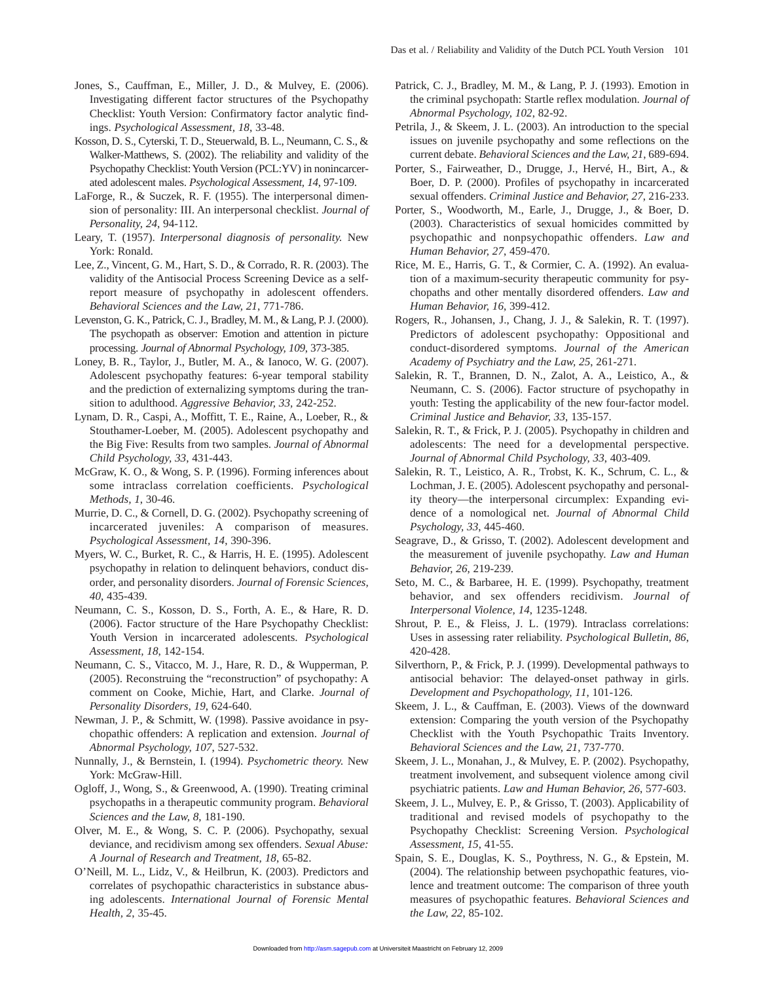- Jones, S., Cauffman, E., Miller, J. D., & Mulvey, E. (2006). Investigating different factor structures of the Psychopathy Checklist: Youth Version: Confirmatory factor analytic findings. *Psychological Assessment, 18*, 33-48.
- Kosson, D. S., Cyterski, T. D., Steuerwald, B. L., Neumann, C. S., & Walker-Matthews, S. (2002). The reliability and validity of the Psychopathy Checklist: Youth Version (PCL:YV) in nonincarcerated adolescent males. *Psychological Assessment, 14*, 97-109.
- LaForge, R., & Suczek, R. F. (1955). The interpersonal dimension of personality: III. An interpersonal checklist. *Journal of Personality, 24*, 94-112.
- Leary, T. (1957). *Interpersonal diagnosis of personality.* New York: Ronald.
- Lee, Z., Vincent, G. M., Hart, S. D., & Corrado, R. R. (2003). The validity of the Antisocial Process Screening Device as a selfreport measure of psychopathy in adolescent offenders. *Behavioral Sciences and the Law, 21*, 771-786.
- Levenston, G. K., Patrick, C. J., Bradley, M. M., & Lang, P. J. (2000). The psychopath as observer: Emotion and attention in picture processing. *Journal of Abnormal Psychology, 109*, 373-385.
- Loney, B. R., Taylor, J., Butler, M. A., & Ianoco, W. G. (2007). Adolescent psychopathy features: 6-year temporal stability and the prediction of externalizing symptoms during the transition to adulthood. *Aggressive Behavior, 33,* 242-252.
- Lynam, D. R., Caspi, A., Moffitt, T. E., Raine, A., Loeber, R., & Stouthamer-Loeber, M. (2005). Adolescent psychopathy and the Big Five: Results from two samples. *Journal of Abnormal Child Psychology, 33*, 431-443.
- McGraw, K. O., & Wong, S. P. (1996). Forming inferences about some intraclass correlation coefficients. *Psychological Methods, 1*, 30-46.
- Murrie, D. C., & Cornell, D. G. (2002). Psychopathy screening of incarcerated juveniles: A comparison of measures. *Psychological Assessment, 14*, 390-396.
- Myers, W. C., Burket, R. C., & Harris, H. E. (1995). Adolescent psychopathy in relation to delinquent behaviors, conduct disorder, and personality disorders. *Journal of Forensic Sciences, 40*, 435-439.
- Neumann, C. S., Kosson, D. S., Forth, A. E., & Hare, R. D. (2006). Factor structure of the Hare Psychopathy Checklist: Youth Version in incarcerated adolescents. *Psychological Assessment, 18*, 142-154.
- Neumann, C. S., Vitacco, M. J., Hare, R. D., & Wupperman, P. (2005). Reconstruing the "reconstruction" of psychopathy: A comment on Cooke, Michie, Hart, and Clarke. *Journal of Personality Disorders, 19*, 624-640.
- Newman, J. P., & Schmitt, W. (1998). Passive avoidance in psychopathic offenders: A replication and extension. *Journal of Abnormal Psychology, 107*, 527-532.
- Nunnally, J., & Bernstein, I. (1994). *Psychometric theory.* New York: McGraw-Hill.
- Ogloff, J., Wong, S., & Greenwood, A. (1990). Treating criminal psychopaths in a therapeutic community program. *Behavioral Sciences and the Law, 8*, 181-190.
- Olver, M. E., & Wong, S. C. P. (2006). Psychopathy, sexual deviance, and recidivism among sex offenders. *Sexual Abuse: A Journal of Research and Treatment, 18*, 65-82.
- O'Neill, M. L., Lidz, V., & Heilbrun, K. (2003). Predictors and correlates of psychopathic characteristics in substance abusing adolescents. *International Journal of Forensic Mental Health, 2*, 35-45.
- Patrick, C. J., Bradley, M. M., & Lang, P. J. (1993). Emotion in the criminal psychopath: Startle reflex modulation. *Journal of Abnormal Psychology, 102*, 82-92.
- Petrila, J., & Skeem, J. L. (2003). An introduction to the special issues on juvenile psychopathy and some reflections on the current debate. *Behavioral Sciences and the Law, 21*, 689-694.
- Porter, S., Fairweather, D., Drugge, J., Hervé, H., Birt, A., & Boer, D. P. (2000). Profiles of psychopathy in incarcerated sexual offenders. *Criminal Justice and Behavior, 27*, 216-233.
- Porter, S., Woodworth, M., Earle, J., Drugge, J., & Boer, D. (2003). Characteristics of sexual homicides committed by psychopathic and nonpsychopathic offenders. *Law and Human Behavior, 27*, 459-470.
- Rice, M. E., Harris, G. T., & Cormier, C. A. (1992). An evaluation of a maximum-security therapeutic community for psychopaths and other mentally disordered offenders. *Law and Human Behavior, 16*, 399-412.
- Rogers, R., Johansen, J., Chang, J. J., & Salekin, R. T. (1997). Predictors of adolescent psychopathy: Oppositional and conduct-disordered symptoms. *Journal of the American Academy of Psychiatry and the Law, 25*, 261-271.
- Salekin, R. T., Brannen, D. N., Zalot, A. A., Leistico, A., & Neumann, C. S. (2006). Factor structure of psychopathy in youth: Testing the applicability of the new four-factor model. *Criminal Justice and Behavior, 33*, 135-157.
- Salekin, R. T., & Frick, P. J. (2005). Psychopathy in children and adolescents: The need for a developmental perspective. *Journal of Abnormal Child Psychology, 33*, 403-409.
- Salekin, R. T., Leistico, A. R., Trobst, K. K., Schrum, C. L., & Lochman, J. E. (2005). Adolescent psychopathy and personality theory—the interpersonal circumplex: Expanding evidence of a nomological net. *Journal of Abnormal Child Psychology, 33*, 445-460.
- Seagrave, D., & Grisso, T. (2002). Adolescent development and the measurement of juvenile psychopathy. *Law and Human Behavior, 26*, 219-239.
- Seto, M. C., & Barbaree, H. E. (1999). Psychopathy, treatment behavior, and sex offenders recidivism. *Journal of Interpersonal Violence, 14*, 1235-1248.
- Shrout, P. E., & Fleiss, J. L. (1979). Intraclass correlations: Uses in assessing rater reliability. *Psychological Bulletin, 86*, 420-428.
- Silverthorn, P., & Frick, P. J. (1999). Developmental pathways to antisocial behavior: The delayed-onset pathway in girls. *Development and Psychopathology, 11*, 101-126.
- Skeem, J. L., & Cauffman, E. (2003). Views of the downward extension: Comparing the youth version of the Psychopathy Checklist with the Youth Psychopathic Traits Inventory. *Behavioral Sciences and the Law, 21*, 737-770.
- Skeem, J. L., Monahan, J., & Mulvey, E. P. (2002). Psychopathy, treatment involvement, and subsequent violence among civil psychiatric patients. *Law and Human Behavior, 26*, 577-603.
- Skeem, J. L., Mulvey, E. P., & Grisso, T. (2003). Applicability of traditional and revised models of psychopathy to the Psychopathy Checklist: Screening Version. *Psychological Assessment, 15*, 41-55.
- Spain, S. E., Douglas, K. S., Poythress, N. G., & Epstein, M. (2004). The relationship between psychopathic features, violence and treatment outcome: The comparison of three youth measures of psychopathic features. *Behavioral Sciences and the Law, 22*, 85-102.